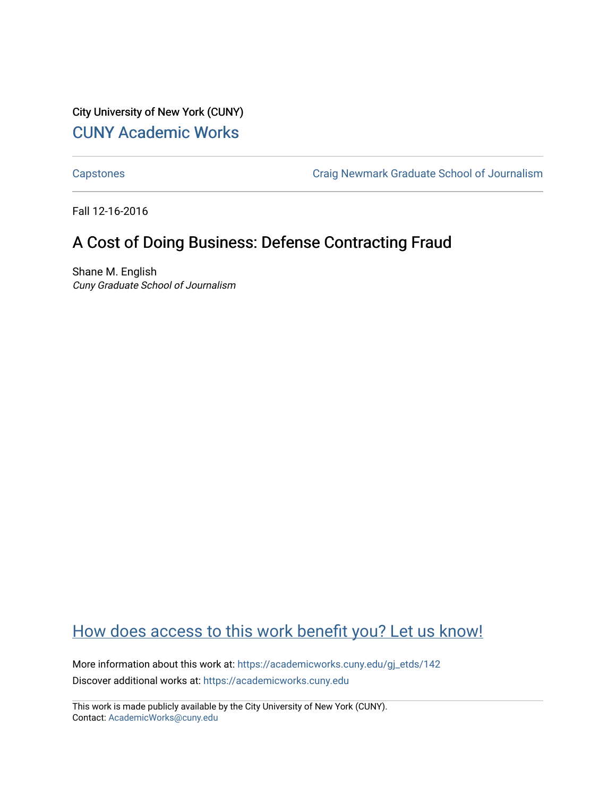City University of New York (CUNY) [CUNY Academic Works](https://academicworks.cuny.edu/) 

[Capstones](https://academicworks.cuny.edu/gj_etds) [Craig Newmark Graduate School of Journalism](https://academicworks.cuny.edu/gj) 

Fall 12-16-2016

# A Cost of Doing Business: Defense Contracting Fraud

Shane M. English Cuny Graduate School of Journalism

# [How does access to this work benefit you? Let us know!](http://ols.cuny.edu/academicworks/?ref=https://academicworks.cuny.edu/gj_etds/142)

More information about this work at: [https://academicworks.cuny.edu/gj\\_etds/142](https://academicworks.cuny.edu/gj_etds/142)  Discover additional works at: [https://academicworks.cuny.edu](https://academicworks.cuny.edu/?)

This work is made publicly available by the City University of New York (CUNY). Contact: [AcademicWorks@cuny.edu](mailto:AcademicWorks@cuny.edu)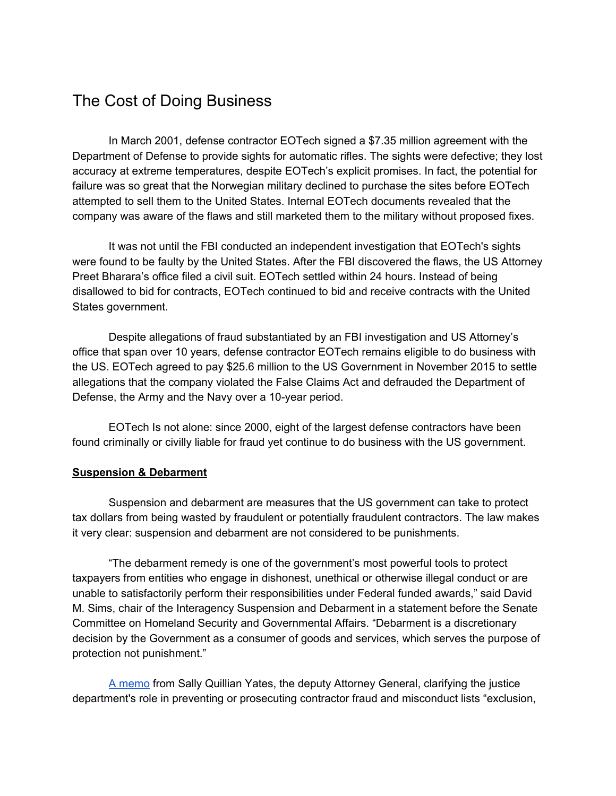## The Cost of Doing Business

In March 2001, defense contractor EOTech signed a \$7.35 million agreement with the Department of Defense to provide sights for automatic rifles. The sights were defective; they lost accuracy at extreme temperatures, despite EOTech's explicit promises. In fact, the potential for failure was so great that the Norwegian military declined to purchase the sites before EOTech attempted to sell them to the United States. Internal EOTech documents revealed that the company was aware of the flaws and still marketed them to the military without proposed fixes.

It was not until the FBI conducted an independent investigation that EOTech's sights were found to be faulty by the United States. After the FBI discovered the flaws, the US Attorney Preet Bharara's office filed a civil suit. EOTech settled within 24 hours. Instead of being disallowed to bid for contracts, EOTech continued to bid and receive contracts with the United States government.

Despite allegations of fraud substantiated by an FBI investigation and US Attorney's office that span over 10 years, defense contractor EOTech remains eligible to do business with the US. EOTech agreed to pay \$25.6 million to the US Government in November 2015 to settle allegations that the company violated the False Claims Act and defrauded the Department of Defense, the Army and the Navy over a 10-year period.

EOTech Is not alone: since 2000, eight of the largest defense contractors have been found criminally or civilly liable for fraud yet continue to do business with the US government.

### **Suspension & Debarment**

Suspension and debarment are measures that the US government can take to protect tax dollars from being wasted by fraudulent or potentially fraudulent contractors. The law makes it very clear: suspension and debarment are not considered to be punishments.

"The debarment remedy is one of the government's most powerful tools to protect taxpayers from entities who engage in dishonest, unethical or otherwise illegal conduct or are unable to satisfactorily perform their responsibilities under Federal funded awards," said David M. Sims, chair of the Interagency Suspension and Debarment in a statement before the Senate Committee on Homeland Security and Governmental Affairs. "Debarment is a discretionary decision by the Government as a consumer of goods and services, which serves the purpose of protection not punishment."

[A memo](https://www.justice.gov/dag/file/769036/download) from Sally Quillian Yates, the deputy Attorney General, clarifying the justice department's role in preventing or prosecuting contractor fraud and misconduct lists "exclusion,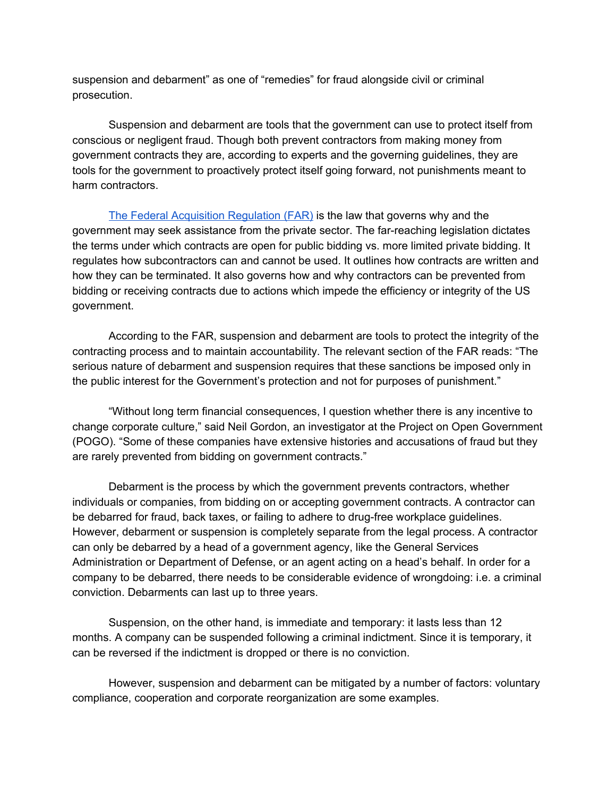suspension and debarment" as one of "remedies" for fraud alongside civil or criminal prosecution.

Suspension and debarment are tools that the government can use to protect itself from conscious or negligent fraud. Though both prevent contractors from making money from government contracts they are, according to experts and the governing guidelines, they are tools for the government to proactively protect itself going forward, not punishments meant to harm contractors.

[The Federal Acquisition](https://www.acquisition.gov/?q=browsefar) Regulation (FAR) is the law that governs why and the government may seek assistance from the private sector. The far-reaching legislation dictates the terms under which contracts are open for public bidding vs. more limited private bidding. It regulates how subcontractors can and cannot be used. It outlines how contracts are written and how they can be terminated. It also governs how and why contractors can be prevented from bidding or receiving contracts due to actions which impede the efficiency or integrity of the US government.

According to the FAR, suspension and debarment are tools to protect the integrity of the contracting process and to maintain accountability. The relevant section of the FAR reads: "The serious nature of debarment and suspension requires that these sanctions be imposed only in the public interest for the Government's protection and not for purposes of punishment."

"Without long term financial consequences, I question whether there is any incentive to change corporate culture," said Neil Gordon, an investigator at the Project on Open Government (POGO). "Some of these companies have extensive histories and accusations of fraud but they are rarely prevented from bidding on government contracts."

Debarment is the process by which the government prevents contractors, whether individuals or companies, from bidding on or accepting government contracts. A contractor can be debarred for fraud, back taxes, or failing to adhere to drug-free workplace guidelines. However, debarment or suspension is completely separate from the legal process. A contractor can only be debarred by a head of a government agency, like the General Services Administration or Department of Defense, or an agent acting on a head's behalf. In order for a company to be debarred, there needs to be considerable evidence of wrongdoing: i.e. a criminal conviction. Debarments can last up to three years.

Suspension, on the other hand, is immediate and temporary: it lasts less than 12 months. A company can be suspended following a criminal indictment. Since it is temporary, it can be reversed if the indictment is dropped or there is no conviction.

However, suspension and debarment can be mitigated by a number of factors: voluntary compliance, cooperation and corporate reorganization are some examples.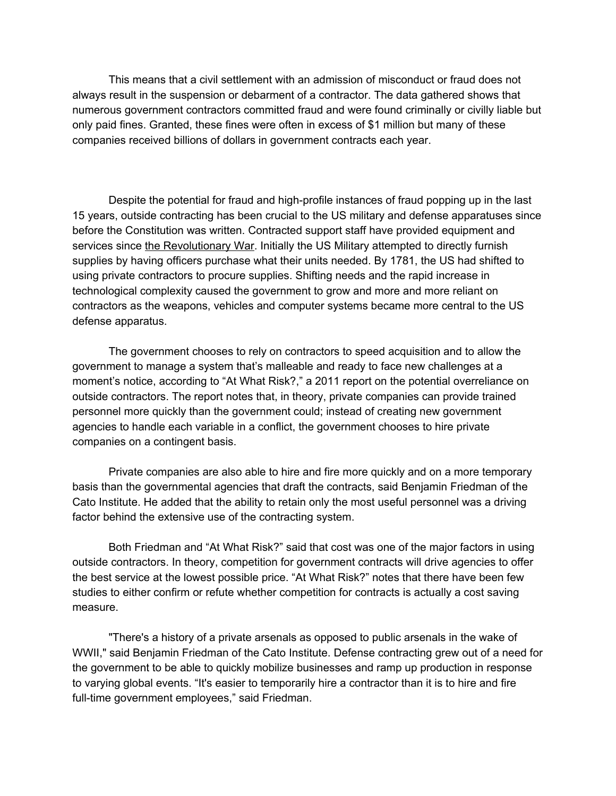This means that a civil settlement with an admission of misconduct or fraud does not always result in the suspension or debarment of a contractor. The data gathered shows that numerous government contractors committed fraud and were found criminally or civilly liable but only paid fines. Granted, these fines were often in excess of \$1 million but many of these companies received billions of dollars in government contracts each year.

Despite the potential for fraud and high-profile instances of fraud popping up in the last 15 years, outside contracting has been crucial to the US military and defense apparatuses since before the Constitution was written. Contracted support staff have provided equipment and services since [the Revolutionary War.](http://www.acq.osd.mil/dpap/pacc/cc/history.html) Initially the US Military attempted to directly furnish supplies by having officers purchase what their units needed. By 1781, the US had shifted to using private contractors to procure supplies. Shifting needs and the rapid increase in technological complexity caused the government to grow and more and more reliant on contractors as the weapons, vehicles and computer systems became more central to the US defense apparatus.

The government chooses to rely on contractors to speed acquisition and to allow the government to manage a system that's malleable and ready to face new challenges at a moment's notice, according to "At What Risk?," a 2011 report on the potential overreliance on outside contractors. The report notes that, in theory, private companies can provide trained personnel more quickly than the government could; instead of creating new government agencies to handle each variable in a conflict, the government chooses to hire private companies on a contingent basis.

Private companies are also able to hire and fire more quickly and on a more temporary basis than the governmental agencies that draft the contracts, said Benjamin Friedman of the Cato Institute. He added that the ability to retain only the most useful personnel was a driving factor behind the extensive use of the contracting system.

Both Friedman and "At What Risk?" said that cost was one of the major factors in using outside contractors. In theory, competition for government contracts will drive agencies to offer the best service at the lowest possible price. "At What Risk?" notes that there have been few studies to either confirm or refute whether competition for contracts is actually a cost saving measure.

"There's a history of a private arsenals as opposed to public arsenals in the wake of WWII," said Benjamin Friedman of the Cato Institute. Defense contracting grew out of a need for the government to be able to quickly mobilize businesses and ramp up production in response to varying global events. "It's easier to temporarily hire a contractor than it is to hire and fire full-time government employees," said Friedman.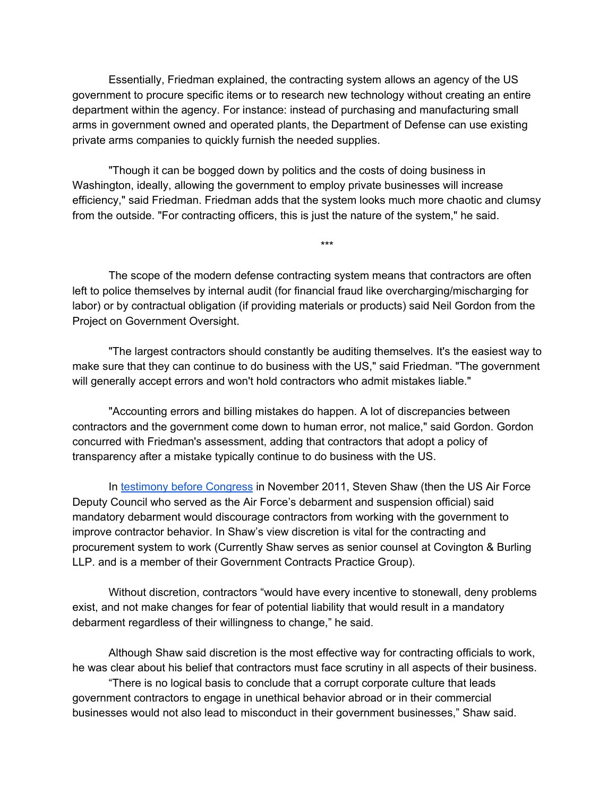Essentially, Friedman explained, the contracting system allows an agency of the US government to procure specific items or to research new technology without creating an entire department within the agency. For instance: instead of purchasing and manufacturing small arms in government owned and operated plants, the Department of Defense can use existing private arms companies to quickly furnish the needed supplies.

"Though it can be bogged down by politics and the costs of doing business in Washington, ideally, allowing the government to employ private businesses will increase efficiency," said Friedman. Friedman adds that the system looks much more chaotic and clumsy from the outside. "For contracting officers, this is just the nature of the system," he said.

\*\*\*

The scope of the modern defense contracting system means that contractors are often left to police themselves by internal audit (for financial fraud like overcharging/mischarging for labor) or by contractual obligation (if providing materials or products) said Neil Gordon from the Project on Government Oversight.

"The largest contractors should constantly be auditing themselves. It's the easiest way to make sure that they can continue to do business with the US," said Friedman. "The government will generally accept errors and won't hold contractors who admit mistakes liable."

"Accounting errors and billing mistakes do happen. A lot of discrepancies between contractors and the government come down to human error, not malice," said Gordon. Gordon concurred with Friedman's assessment, adding that contractors that adopt a policy of transparency after a mistake typically continue to do business with the US.

In [testimony before](http://www.hsgac.senate.gov/hearings/weeding-out-bad-contractors-does-the-government-have-the-right-tools) Congress in November 2011, Steven Shaw (then the US Air Force Deputy Council who served as the Air Force's debarment and suspension official) said mandatory debarment would discourage contractors from working with the government to improve contractor behavior. In Shaw's view discretion is vital for the contracting and procurement system to work (Currently Shaw serves as senior counsel at Covington & Burling LLP. and is a member of their Government Contracts Practice Group).

Without discretion, contractors "would have every incentive to stonewall, deny problems exist, and not make changes for fear of potential liability that would result in a mandatory debarment regardless of their willingness to change," he said.

Although Shaw said discretion is the most effective way for contracting officials to work, he was clear about his belief that contractors must face scrutiny in all aspects of their business.

"There is no logical basis to conclude that a corrupt corporate culture that leads government contractors to engage in unethical behavior abroad or in their commercial businesses would not also lead to misconduct in their government businesses," Shaw said.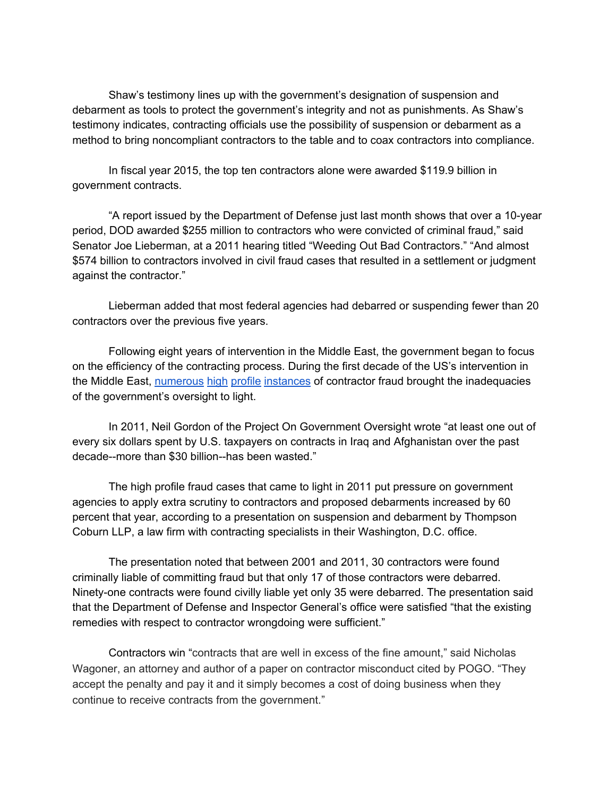Shaw's testimony lines up with the government's designation of suspension and debarment as tools to protect the government's integrity and not as punishments. As Shaw's testimony indicates, contracting officials use the possibility of suspension or debarment as a method to bring noncompliant contractors to the table and to coax contractors into compliance.

In fiscal year 2015, the top ten contractors alone were awarded \$119.9 billion in government contracts.

"A report issued by the Department of Defense just last month shows that over a 10-year period, DOD awarded \$255 million to contractors who were convicted of criminal fraud," said Senator Joe Lieberman, at a 2011 hearing titled "Weeding Out Bad Contractors." "And almost \$574 billion to contractors involved in civil fraud cases that resulted in a settlement or judgment against the contractor."

Lieberman added that most federal agencies had debarred or suspending fewer than 20 contractors over the previous five years.

Following eight years of intervention in the Middle East, the government began to focus on the efficiency of the contracting process. During the first decade of the US's intervention in the Middle East, [numerous](http://www.sanders.senate.gov/newsroom/press-releases/fraudulent-defense-contractors-paid-1-trillion) [high](https://www.thenation.com/article/pentagon-fraud-papers-contractors-defrauded-dod-were-rewarded-285-billion-new-contracts/) [profile](http://www.stripes.com/news/report-u-s-wasted-60-billion-in-contracting-fraud-abuse-1.153787) [instances](https://www.wired.com/2011/08/wasted-war-cash/) of contractor fraud brought the inadequacies of the government's oversight to light.

In 2011, Neil Gordon of the Project On Government Oversight wrote "at least one out of every six dollars spent by U.S. taxpayers on contracts in Iraq and Afghanistan over the past decade--more than \$30 billion--has been wasted."

The high profile fraud cases that came to light in 2011 put pressure on government agencies to apply extra scrutiny to contractors and proposed debarments increased by 60 percent that year, according to a presentation on suspension and debarment by Thompson Coburn LLP, a law firm with contracting specialists in their Washington, D.C. office.

The presentation noted that between 2001 and 2011, 30 contractors were found criminally liable of committing fraud but that only 17 of those contractors were debarred. Ninety-one contracts were found civilly liable yet only 35 were debarred. The presentation said that the Department of Defense and Inspector General's office were satisfied "that the existing remedies with respect to contractor wrongdoing were sufficient."

Contractors win "contracts that are well in excess of the fine amount," said Nicholas Wagoner, an attorney and author of a paper on contractor misconduct cited by POGO. "They accept the penalty and pay it and it simply becomes a cost of doing business when they continue to receive contracts from the government."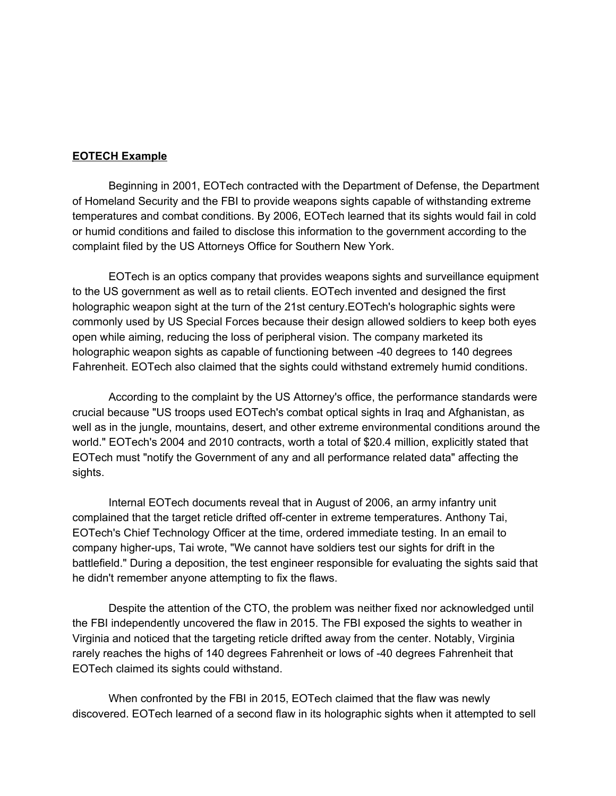#### **EOTECH Example**

Beginning in 2001, EOTech contracted with the Department of Defense, the Department of Homeland Security and the FBI to provide weapons sights capable of withstanding extreme temperatures and combat conditions. By 2006, EOTech learned that its sights would fail in cold or humid conditions and failed to disclose this information to the government according to the complaint filed by the US Attorneys Office for Southern New York.

EOTech is an optics company that provides weapons sights and surveillance equipment to the US government as well as to retail clients. EOTech invented and designed the first holographic weapon sight at the turn of the 21st century.EOTech's holographic sights were commonly used by US Special Forces because their design allowed soldiers to keep both eyes open while aiming, reducing the loss of peripheral vision. The company marketed its holographic weapon sights as capable of functioning between -40 degrees to 140 degrees Fahrenheit. EOTech also claimed that the sights could withstand extremely humid conditions.

According to the complaint by the US Attorney's office, the performance standards were crucial because "US troops used EOTech's combat optical sights in Iraq and Afghanistan, as well as in the jungle, mountains, desert, and other extreme environmental conditions around the world." EOTech's 2004 and 2010 contracts, worth a total of \$20.4 million, explicitly stated that EOTech must "notify the Government of any and all performance related data" affecting the sights.

Internal EOTech documents reveal that in August of 2006, an army infantry unit complained that the target reticle drifted off-center in extreme temperatures. Anthony Tai, EOTech's Chief Technology Officer at the time, ordered immediate testing. In an email to company higher-ups, Tai wrote, "We cannot have soldiers test our sights for drift in the battlefield." During a deposition, the test engineer responsible for evaluating the sights said that he didn't remember anyone attempting to fix the flaws.

Despite the attention of the CTO, the problem was neither fixed nor acknowledged until the FBI independently uncovered the flaw in 2015. The FBI exposed the sights to weather in Virginia and noticed that the targeting reticle drifted away from the center. Notably, Virginia rarely reaches the highs of 140 degrees Fahrenheit or lows of -40 degrees Fahrenheit that EOTech claimed its sights could withstand.

When confronted by the FBI in 2015, EOTech claimed that the flaw was newly discovered. EOTech learned of a second flaw in its holographic sights when it attempted to sell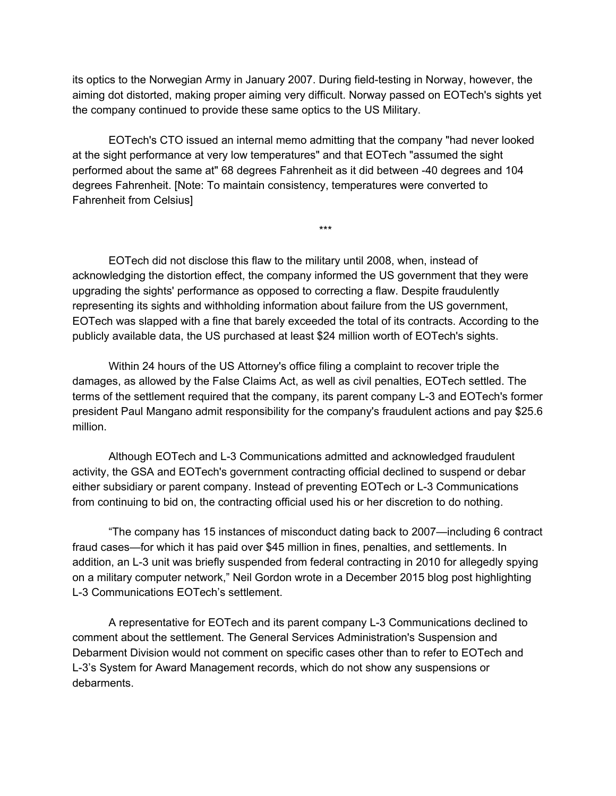its optics to the Norwegian Army in January 2007. During field-testing in Norway, however, the aiming dot distorted, making proper aiming very difficult. Norway passed on EOTech's sights yet the company continued to provide these same optics to the US Military.

EOTech's CTO issued an internal memo admitting that the company "had never looked at the sight performance at very low temperatures" and that EOTech "assumed the sight performed about the same at" 68 degrees Fahrenheit as it did between -40 degrees and 104 degrees Fahrenheit. [Note: To maintain consistency, temperatures were converted to Fahrenheit from Celsius]

\*\*\*

EOTech did not disclose this flaw to the military until 2008, when, instead of acknowledging the distortion effect, the company informed the US government that they were upgrading the sights' performance as opposed to correcting a flaw. Despite fraudulently representing its sights and withholding information about failure from the US government, EOTech was slapped with a fine that barely exceeded the total of its contracts. According to the publicly available data, the US purchased at least \$24 million worth of EOTech's sights.

Within 24 hours of the US Attorney's office filing a complaint to recover triple the damages, as allowed by the False Claims Act, as well as civil penalties, EOTech settled. The terms of the settlement required that the company, its parent company L-3 and EOTech's former president Paul Mangano admit responsibility for the company's fraudulent actions and pay \$25.6 million.

Although EOTech and L-3 Communications admitted and acknowledged fraudulent activity, the GSA and EOTech's government contracting official declined to suspend or debar either subsidiary or parent company. Instead of preventing EOTech or L-3 Communications from continuing to bid on, the contracting official used his or her discretion to do nothing.

"The company has 15 instances of misconduct dating back to 2007—including 6 contract fraud cases—for which it has paid over \$45 million in fines, penalties, and settlements. In addition, an L-3 unit was briefly suspended from federal contracting in 2010 for allegedly spying on a military computer network," Neil Gordon wrote in a December 2015 blog post highlighting L-3 Communications EOTech's settlement.

A representative for EOTech and its parent company L-3 Communications declined to comment about the settlement. The General Services Administration's Suspension and Debarment Division would not comment on specific cases other than to refer to EOTech and L-3's System for Award Management records, which do not show any suspensions or debarments.